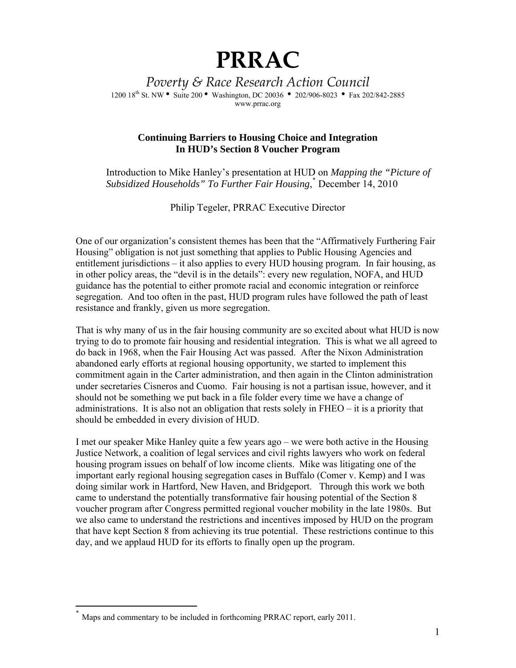## **PRRAC**

*Poverty & Race Research Action Council* 1200 18<sup>th</sup> St. NW • Suite 200 • Washington, DC 20036 • 202/906-8023 • Fax 202/842-2885 www.prrac.org

## **Continuing Barriers to Housing Choice and Integration In HUD's Section 8 Voucher Program**

Introduction to Mike Hanley's presentation at HUD on *Mapping the "Picture of Subsidized Households" To Further Fair Housing*, ٭ December 14, 2010

Philip Tegeler, PRRAC Executive Director

One of our organization's consistent themes has been that the "Affirmatively Furthering Fair Housing" obligation is not just something that applies to Public Housing Agencies and entitlement jurisdictions – it also applies to every HUD housing program. In fair housing, as in other policy areas, the "devil is in the details": every new regulation, NOFA, and HUD guidance has the potential to either promote racial and economic integration or reinforce segregation. And too often in the past, HUD program rules have followed the path of least resistance and frankly, given us more segregation.

That is why many of us in the fair housing community are so excited about what HUD is now trying to do to promote fair housing and residential integration. This is what we all agreed to do back in 1968, when the Fair Housing Act was passed. After the Nixon Administration abandoned early efforts at regional housing opportunity, we started to implement this commitment again in the Carter administration, and then again in the Clinton administration under secretaries Cisneros and Cuomo. Fair housing is not a partisan issue, however, and it should not be something we put back in a file folder every time we have a change of administrations. It is also not an obligation that rests solely in FHEO – it is a priority that should be embedded in every division of HUD.

I met our speaker Mike Hanley quite a few years ago – we were both active in the Housing Justice Network, a coalition of legal services and civil rights lawyers who work on federal housing program issues on behalf of low income clients. Mike was litigating one of the important early regional housing segregation cases in Buffalo (Comer v. Kemp) and I was doing similar work in Hartford, New Haven, and Bridgeport. Through this work we both came to understand the potentially transformative fair housing potential of the Section 8 voucher program after Congress permitted regional voucher mobility in the late 1980s. But we also came to understand the restrictions and incentives imposed by HUD on the program that have kept Section 8 from achieving its true potential. These restrictions continue to this day, and we applaud HUD for its efforts to finally open up the program.

 $\overline{a}$ 

Maps and commentary to be included in forthcoming PRRAC report, early 2011.